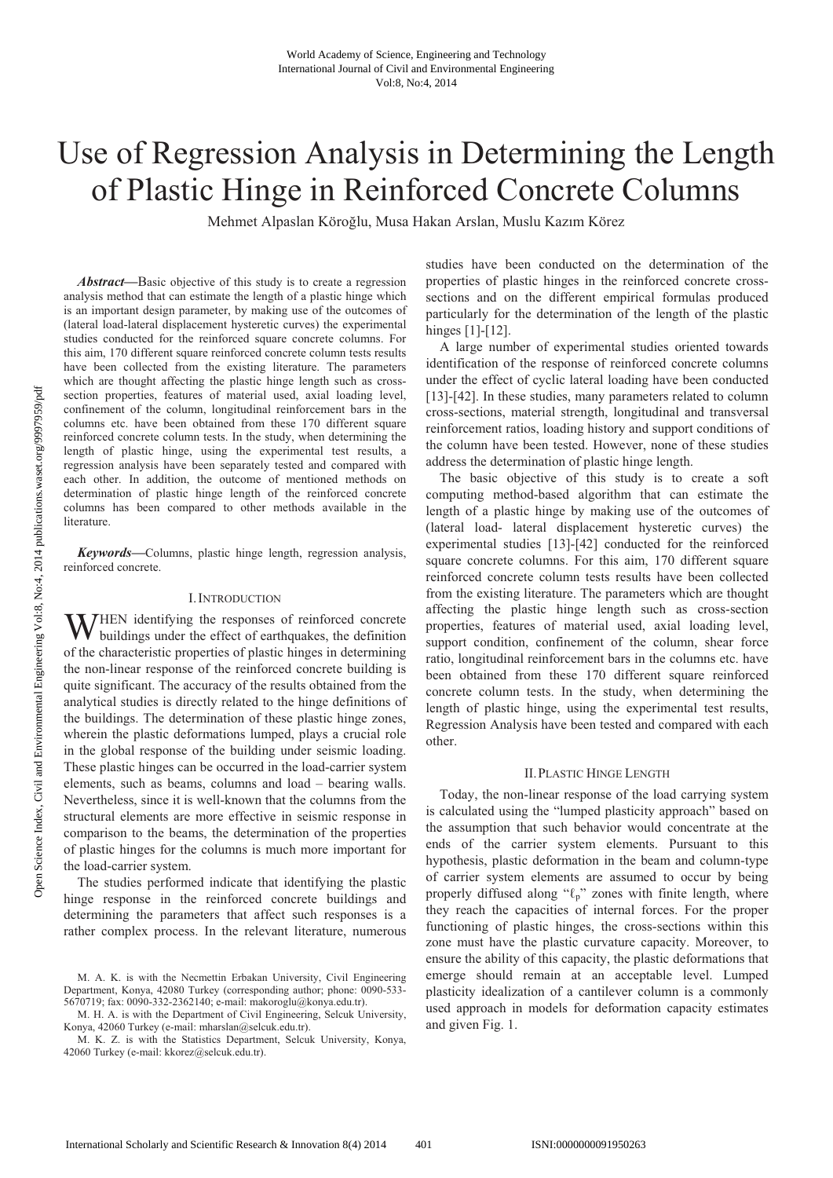# Use of Regression Analysis in Determining the Length of Plastic Hinge in Reinforced Concrete Columns

Mehmet Alpaslan Köroğlu, Musa Hakan Arslan, Muslu Kazım Körez

*Abstract***—**Basic objective of this study is to create a regression analysis method that can estimate the length of a plastic hinge which is an important design parameter, by making use of the outcomes of (lateral load-lateral displacement hysteretic curves) the experimental studies conducted for the reinforced square concrete columns. For this aim, 170 different square reinforced concrete column tests results have been collected from the existing literature. The parameters which are thought affecting the plastic hinge length such as crosssection properties, features of material used, axial loading level, confinement of the column, longitudinal reinforcement bars in the columns etc. have been obtained from these 170 different square reinforced concrete column tests. In the study, when determining the length of plastic hinge, using the experimental test results, a regression analysis have been separately tested and compared with each other. In addition, the outcome of mentioned methods on determination of plastic hinge length of the reinforced concrete columns has been compared to other methods available in the literature.

*Keywords***—**Columns, plastic hinge length, regression analysis, reinforced concrete.

#### I.INTRODUCTION

HEN identifying the responses of reinforced concrete WHEN identifying the responses of reinforced concrete buildings under the effect of earthquakes, the definition of the characteristic properties of plastic hinges in determining the non-linear response of the reinforced concrete building is quite significant. The accuracy of the results obtained from the analytical studies is directly related to the hinge definitions of the buildings. The determination of these plastic hinge zones, wherein the plastic deformations lumped, plays a crucial role in the global response of the building under seismic loading. These plastic hinges can be occurred in the load-carrier system elements, such as beams, columns and load – bearing walls. Nevertheless, since it is well-known that the columns from the structural elements are more effective in seismic response in comparison to the beams, the determination of the properties of plastic hinges for the columns is much more important for the load-carrier system.

The studies performed indicate that identifying the plastic hinge response in the reinforced concrete buildings and determining the parameters that affect such responses is a rather complex process. In the relevant literature, numerous studies have been conducted on the determination of the properties of plastic hinges in the reinforced concrete crosssections and on the different empirical formulas produced particularly for the determination of the length of the plastic hinges [1]-[12].

A large number of experimental studies oriented towards identification of the response of reinforced concrete columns under the effect of cyclic lateral loading have been conducted [13]-[42]. In these studies, many parameters related to column cross-sections, material strength, longitudinal and transversal reinforcement ratios, loading history and support conditions of the column have been tested. However, none of these studies address the determination of plastic hinge length.

The basic objective of this study is to create a soft computing method-based algorithm that can estimate the length of a plastic hinge by making use of the outcomes of (lateral load- lateral displacement hysteretic curves) the experimental studies [13]-[42] conducted for the reinforced square concrete columns. For this aim, 170 different square reinforced concrete column tests results have been collected from the existing literature. The parameters which are thought affecting the plastic hinge length such as cross-section properties, features of material used, axial loading level, support condition, confinement of the column, shear force ratio, longitudinal reinforcement bars in the columns etc. have been obtained from these 170 different square reinforced concrete column tests. In the study, when determining the length of plastic hinge, using the experimental test results, Regression Analysis have been tested and compared with each other.

# II.PLASTIC HINGE LENGTH

Today, the non-linear response of the load carrying system is calculated using the "lumped plasticity approach" based on the assumption that such behavior would concentrate at the ends of the carrier system elements. Pursuant to this hypothesis, plastic deformation in the beam and column-type of carrier system elements are assumed to occur by being properly diffused along " $\ell_p$ " zones with finite length, where they reach the capacities of internal forces. For the proper functioning of plastic hinges, the cross-sections within this zone must have the plastic curvature capacity. Moreover, to ensure the ability of this capacity, the plastic deformations that emerge should remain at an acceptable level. Lumped plasticity idealization of a cantilever column is a commonly used approach in models for deformation capacity estimates and given Fig. 1.

M. A. K. is with the Necmettin Erbakan University, Civil Engineering Department, Konya, 42080 Turkey (corresponding author; phone: 0090-533- 5670719; fax: 0090-332-2362140; e-mail: makoroglu@konya.edu.tr).

M. H. A. is with the Department of Civil Engineering, Selcuk University, Konya, 42060 Turkey (e-mail: mharslan@selcuk.edu.tr).

M. K. Z. is with the Statistics Department, Selcuk University, Konya, 42060 Turkey (e-mail: kkorez@selcuk.edu.tr).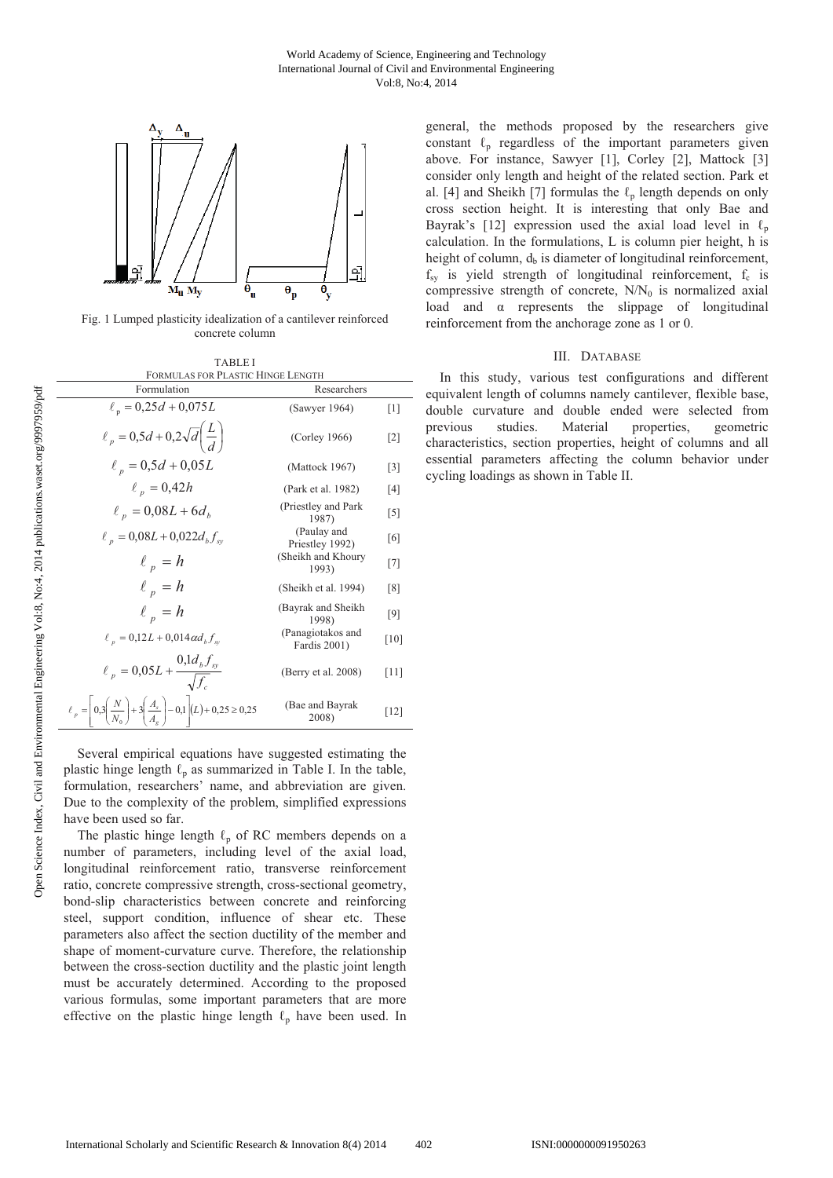

Fig. 1 Lumped plasticity idealization of a cantilever reinforced concrete column

| <b>TABLEI</b>                     |
|-----------------------------------|
| FORMULAS FOR PLASTIC HINGE LENGTH |

| Formulation                                                                                                       | Researchers                       |                   |
|-------------------------------------------------------------------------------------------------------------------|-----------------------------------|-------------------|
| $\ell_p = 0,25d + 0,075L$                                                                                         | (Sawyer 1964)                     | $\lceil 1 \rceil$ |
| $\ell_p = 0.5d + 0.2\sqrt{d}\left(\frac{L}{d}\right)$                                                             | (Corley 1966)                     | $\lceil 2 \rceil$ |
| $\ell_p = 0.5d + 0.05L$                                                                                           | (Mattock 1967)                    | $\lceil 3 \rceil$ |
| $\ell_p = 0,42h$                                                                                                  | (Park et al. 1982)                | [4]               |
| $\ell_p = 0.08L + 6d_p$                                                                                           | (Priestley and Park<br>1987)      | $\lceil 5 \rceil$ |
| $\ell_p = 0.08L + 0.022d_b f_{sv}$                                                                                | (Paulay and<br>Priestley 1992)    | [6]               |
| $\ell_n = h$                                                                                                      | (Sheikh and Khoury<br>1993)       | $[7]$             |
| $\ell_p = h$                                                                                                      | (Sheikh et al. 1994)              | $\lceil 8 \rceil$ |
| $\ell_n = h$                                                                                                      | (Bayrak and Sheikh)<br>1998)      | [9]               |
| $\ell_p = 0.12L + 0.014 \alpha d_h f_w$                                                                           | (Panagiotakos and<br>Fardis 2001) | $[10]$            |
| $\ell_p = 0.05L + \frac{0.1d_b f_{sy}}{\sqrt{f}}$                                                                 | (Berry et al. 2008)               | [11]              |
| $\ell_p = \left[ 0,3\left(\frac{N}{N_0}\right) + 3\left(\frac{A_s}{A_g}\right) - 0,1 \right] (L) + 0,25 \ge 0,25$ | (Bae and Bayrak)<br>2008)         | $[12]$            |

Several empirical equations have suggested estimating the plastic hinge length  $\ell_p$  as summarized in Table I. In the table, formulation, researchers' name, and abbreviation are given. Due to the complexity of the problem, simplified expressions have been used so far.

The plastic hinge length  $\ell_p$  of RC members depends on a number of parameters, including level of the axial load, longitudinal reinforcement ratio, transverse reinforcement ratio, concrete compressive strength, cross-sectional geometry, bond-slip characteristics between concrete and reinforcing steel, support condition, influence of shear etc. These parameters also affect the section ductility of the member and shape of moment-curvature curve. Therefore, the relationship between the cross-section ductility and the plastic joint length must be accurately determined. According to the proposed various formulas, some important parameters that are more effective on the plastic hinge length  $\ell_p$  have been used. In general, the methods proposed by the researchers give constant  $\ell_p$  regardless of the important parameters given above. For instance, Sawyer [1], Corley [2], Mattock [3] consider only length and height of the related section. Park et al. [4] and Sheikh [7] formulas the  $\ell_p$  length depends on only cross section height. It is interesting that only Bae and Bayrak's [12] expression used the axial load level in  $\ell_{\rm r}$ calculation. In the formulations, L is column pier height, h is height of column,  $d<sub>b</sub>$  is diameter of longitudinal reinforcement,  $f_{\rm sv}$  is yield strength of longitudinal reinforcement,  $f_{\rm c}$  is compressive strength of concrete,  $N/N_0$  is normalized axial load and  $\alpha$  represents the slippage of longitudinal reinforcement from the anchorage zone as 1 or 0.

#### III. DATABASE

In this study, various test configurations and different equivalent length of columns namely cantilever, flexible base, double curvature and double ended were selected from previous studies. Material properties, geometric characteristics, section properties, height of columns and all essential parameters affecting the column behavior under cycling loadings as shown in Table II.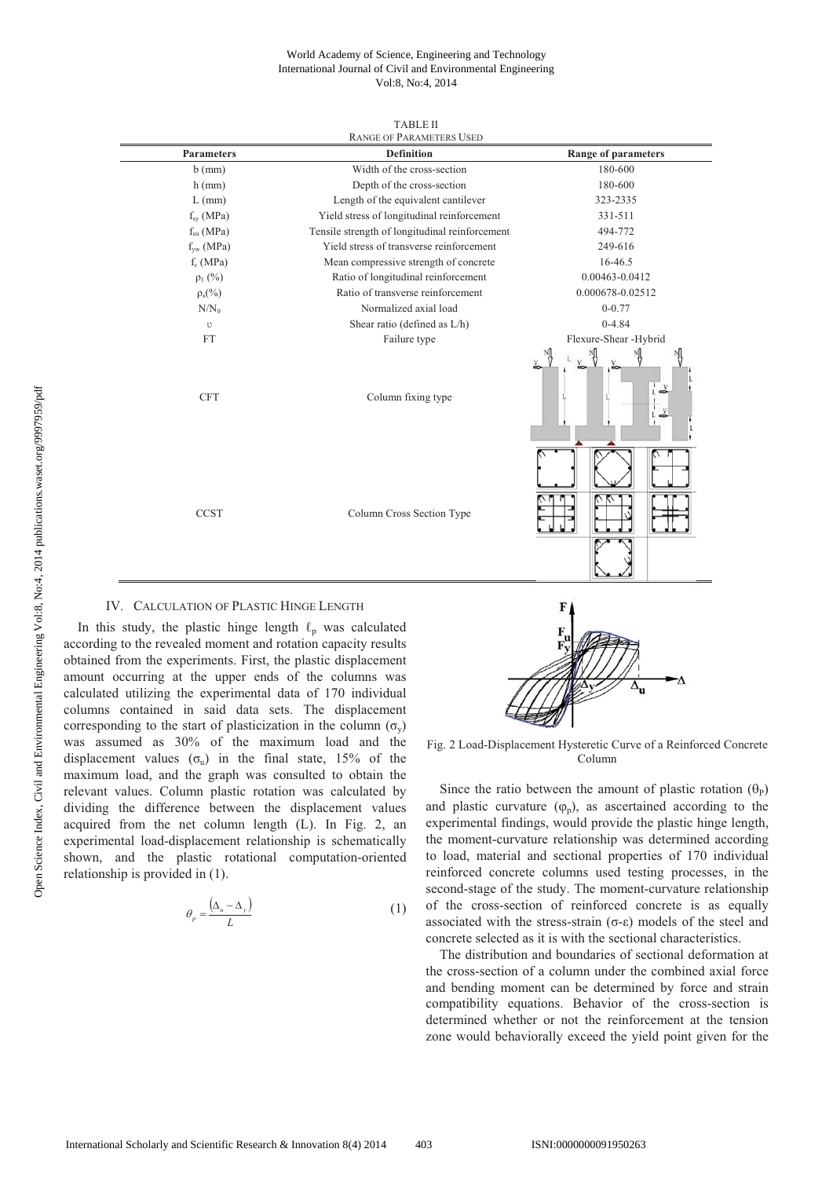#### World Academy of Science, Engineering and Technology International Journal of Civil and Environmental Engineering Vol:8, No:4, 2014

| <b>TABLE II</b>                 |
|---------------------------------|
| <b>DAMCE OF DADAMETERS HEED</b> |

| <b>RANGE OF PARAMETERS USED</b> |                                                |                            |  |  |  |  |
|---------------------------------|------------------------------------------------|----------------------------|--|--|--|--|
| <b>Parameters</b>               | <b>Definition</b>                              | <b>Range of parameters</b> |  |  |  |  |
| $b$ (mm)                        | Width of the cross-section                     | 180-600                    |  |  |  |  |
| $h$ (mm)                        | Depth of the cross-section                     | 180-600                    |  |  |  |  |
| $L$ (mm)                        | Length of the equivalent cantilever            | 323-2335                   |  |  |  |  |
| $f_{sv}$ (MPa)                  | Yield stress of longitudinal reinforcement     | 331-511                    |  |  |  |  |
| $f_{su}$ (MPa)                  | Tensile strength of longitudinal reinforcement | 494-772                    |  |  |  |  |
| $f_{vw}$ (MPa)                  | Yield stress of transverse reinforcement       | 249-616                    |  |  |  |  |
| $f_c(MPa)$                      | Mean compressive strength of concrete          | 16-46.5                    |  |  |  |  |
| $\rho_{\ell}$ (%)               | Ratio of longitudinal reinforcement            | 0.00463-0.0412             |  |  |  |  |
| $\rho_s(\%)$                    | Ratio of transverse reinforcement              | 0.000678-0.02512           |  |  |  |  |
| $N/N_0$                         | Normalized axial load                          | $0 - 0.77$                 |  |  |  |  |
| υ                               | Shear ratio (defined as L/h)                   | $0-4.84$                   |  |  |  |  |
| <b>FT</b>                       | Failure type                                   | Flexure-Shear -Hybrid      |  |  |  |  |
| <b>CFT</b>                      | Column fixing type                             | V                          |  |  |  |  |
| <b>CCST</b>                     | Column Cross Section Type                      |                            |  |  |  |  |

## IV. CALCULATION OF PLASTIC HINGE LENGTH

In this study, the plastic hinge length  $\ell_p$  was calculated according to the revealed moment and rotation capacity results obtained from the experiments. First, the plastic displacement amount occurring at the upper ends of the columns was calculated utilizing the experimental data of 170 individual columns contained in said data sets. The displacement corresponding to the start of plasticization in the column  $(\sigma_{v})$ was assumed as 30% of the maximum load and the displacement values  $(\sigma_{\theta})$  in the final state, 15% of the maximum load, and the graph was consulted to obtain the relevant values. Column plastic rotation was calculated by dividing the difference between the displacement values acquired from the net column length (L). In Fig. 2, an experimental load-displacement relationship is schematically shown, and the plastic rotational computation-oriented relationship is provided in (1).

$$
\theta_p = \frac{(\Delta_u - \Delta_y)}{L} \tag{1}
$$



Fig. 2 Load-Displacement Hysteretic Curve of a Reinforced Concrete Column

Since the ratio between the amount of plastic rotation  $(\theta_P)$ and plastic curvature  $(\varphi_n)$ , as ascertained according to the experimental findings, would provide the plastic hinge length, the moment-curvature relationship was determined according to load, material and sectional properties of 170 individual reinforced concrete columns used testing processes, in the second-stage of the study. The moment-curvature relationship of the cross-section of reinforced concrete is as equally associated with the stress-strain  $(\sigma-\varepsilon)$  models of the steel and concrete selected as it is with the sectional characteristics.

The distribution and boundaries of sectional deformation at the cross-section of a column under the combined axial force and bending moment can be determined by force and strain compatibility equations. Behavior of the cross-section is determined whether or not the reinforcement at the tension zone would behaviorally exceed the yield point given for the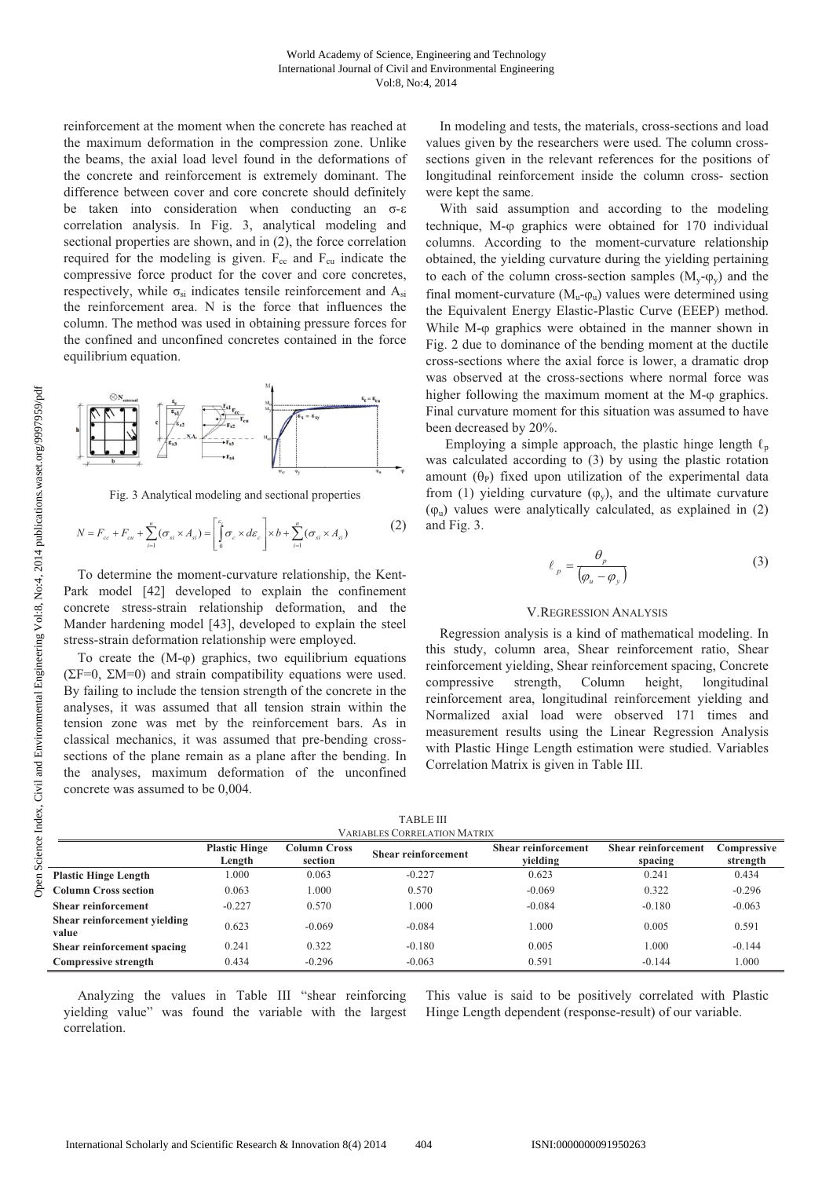reinforcement at the moment when the concrete has reached at the maximum deformation in the compression zone. Unlike the beams, the axial load level found in the deformations of the concrete and reinforcement is extremely dominant. The difference between cover and core concrete should definitely be taken into consideration when conducting an  $\sigma$ - $\varepsilon$ correlation analysis. In Fig. 3, analytical modeling and sectional properties are shown, and in (2), the force correlation required for the modeling is given.  $F_{cc}$  and  $F_{cu}$  indicate the compressive force product for the cover and core concretes, respectively, while  $\sigma_{si}$  indicates tensile reinforcement and  $A_{si}$ the reinforcement area. N is the force that influences the column. The method was used in obtaining pressure forces for the confined and unconfined concretes contained in the force equilibrium equation.



Fig. 3 Analytical modeling and sectional properties

$$
N = F_{cc} + F_{cu} + \sum_{i=1}^{n} (\sigma_{si} \times A_{si}) = \left[ \int_{0}^{\varepsilon_{s}} \sigma_{c} \times d\varepsilon_{c} \right] \times b + \sum_{i=1}^{n} (\sigma_{si} \times A_{si})
$$
 (2)

To determine the moment-curvature relationship, the Kent-Park model [42] developed to explain the confinement concrete stress-strain relationship deformation, and the Mander hardening model [43], developed to explain the steel stress-strain deformation relationship were employed.

To create the  $(M-\varphi)$  graphics, two equilibrium equations ( $\Sigma$ F=0,  $\Sigma$ M=0) and strain compatibility equations were used. By failing to include the tension strength of the concrete in the analyses, it was assumed that all tension strain within the tension zone was met by the reinforcement bars. As in classical mechanics, it was assumed that pre-bending crosssections of the plane remain as a plane after the bending. In the analyses, maximum deformation of the unconfined concrete was assumed to be 0,004.

In modeling and tests, the materials, cross-sections and load values given by the researchers were used. The column crosssections given in the relevant references for the positions of longitudinal reinforcement inside the column cross- section were kept the same.

With said assumption and according to the modeling technique, M- $\varphi$  graphics were obtained for 170 individual columns. According to the moment-curvature relationship obtained, the yielding curvature during the yielding pertaining to each of the column cross-section samples  $(M_v-\varphi_v)$  and the final moment-curvature  $(M_u$ - $\varphi_u$ ) values were determined using the Equivalent Energy Elastic-Plastic Curve (EEEP) method. While  $M$ - $\varphi$  graphics were obtained in the manner shown in Fig. 2 due to dominance of the bending moment at the ductile cross-sections where the axial force is lower, a dramatic drop was observed at the cross-sections where normal force was higher following the maximum moment at the  $M$ - $\varphi$  graphics. Final curvature moment for this situation was assumed to have been decreased by 20%.

Employing a simple approach, the plastic hinge length  $\ell_p$ was calculated according to (3) by using the plastic rotation amount  $(\theta_P)$  fixed upon utilization of the experimental data from (1) yielding curvature  $(\varphi_v)$ , and the ultimate curvature  $(\varphi_u)$  values were analytically calculated, as explained in (2) and Fig. 3.

$$
\ell_p = \frac{\theta_p}{\left(\varphi_u - \varphi_y\right)}\tag{3}
$$

#### V.REGRESSION ANALYSIS

Regression analysis is a kind of mathematical modeling. In this study, column area, Shear reinforcement ratio, Shear reinforcement yielding, Shear reinforcement spacing, Concrete compressive strength, Column height, longitudinal reinforcement area, longitudinal reinforcement yielding and Normalized axial load were observed 171 times and measurement results using the Linear Regression Analysis with Plastic Hinge Length estimation were studied. Variables Correlation Matrix is given in Table III.

| <b>VARIABLES CORRELATION MATRIX</b>   |                                |                                |                            |                                        |                                       |                         |
|---------------------------------------|--------------------------------|--------------------------------|----------------------------|----------------------------------------|---------------------------------------|-------------------------|
|                                       | <b>Plastic Hinge</b><br>Length | <b>Column Cross</b><br>section | <b>Shear reinforcement</b> | <b>Shear reinforcement</b><br>vielding | <b>Shear reinforcement</b><br>spacing | Compressive<br>strength |
| <b>Plastic Hinge Length</b>           | .000                           | 0.063                          | $-0.227$                   | 0.623                                  | 0.241                                 | 0.434                   |
| <b>Column Cross section</b>           | 0.063                          | 000.1                          | 0.570                      | $-0.069$                               | 0.322                                 | $-0.296$                |
| <b>Shear reinforcement</b>            | $-0.227$                       | 0.570                          | 1.000                      | $-0.084$                               | $-0.180$                              | $-0.063$                |
| Shear reinforcement vielding<br>value | 0.623                          | $-0.069$                       | $-0.084$                   | 1.000                                  | 0.005                                 | 0.591                   |
| Shear reinforcement spacing           | 0.241                          | 0.322                          | $-0.180$                   | 0.005                                  | 000.1                                 | $-0.144$                |
| Compressive strength                  | 0.434                          | $-0.296$                       | $-0.063$                   | 0.591                                  | $-0.144$                              | 1.000                   |

TABLE III

Analyzing the values in Table III "shear reinforcing yielding value" was found the variable with the largest correlation.

This value is said to be positively correlated with Plastic Hinge Length dependent (response-result) of our variable.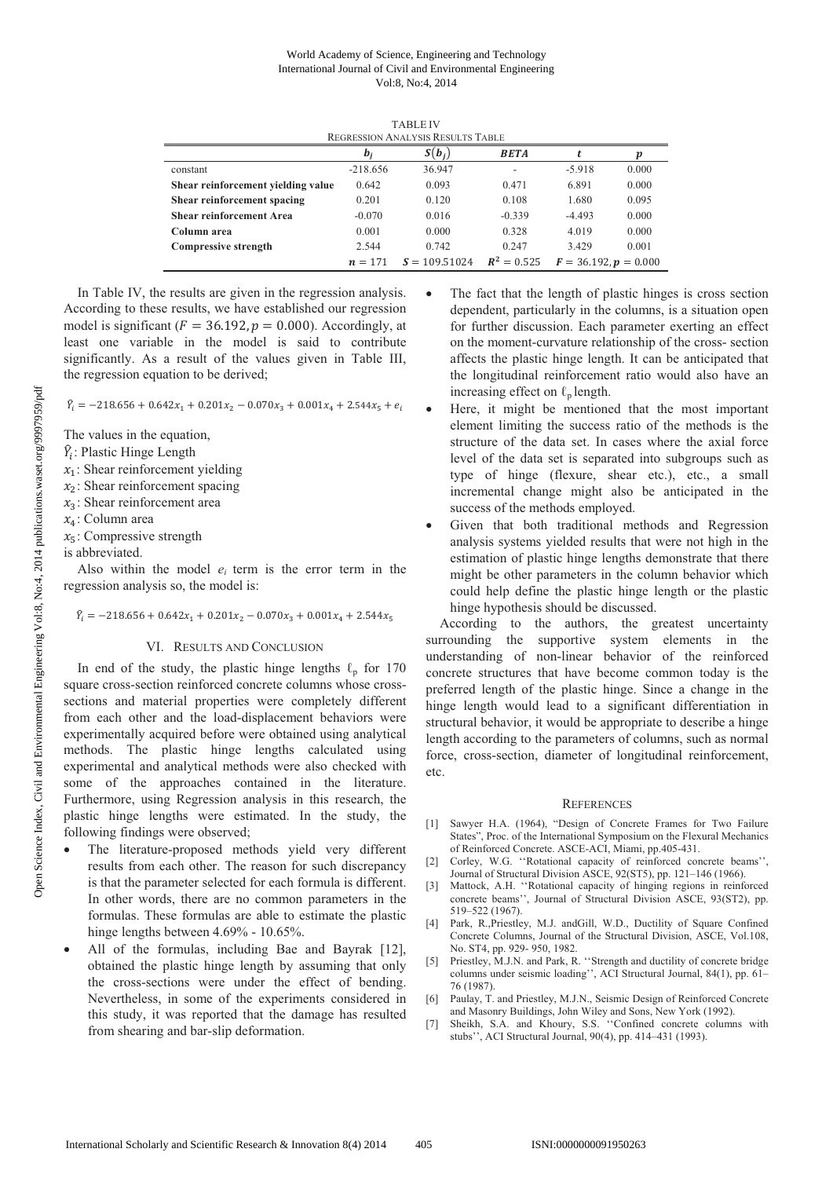### World Academy of Science, Engineering and Technology International Journal of Civil and Environmental Engineering Vol:8, No:4, 2014

TABLE IV

| <b>REGRESSION ANALYSIS RESULTS TABLE</b> |                                                                          |          |             |          |       |
|------------------------------------------|--------------------------------------------------------------------------|----------|-------------|----------|-------|
|                                          | $b_i$                                                                    | $S(b_i)$ | <b>BETA</b> |          | р     |
| constant                                 | $-218.656$                                                               | 36.947   | -           | $-5.918$ | 0.000 |
| Shear reinforcement yielding value       | 0.642                                                                    | 0.093    | 0.471       | 6.891    | 0.000 |
| Shear reinforcement spacing              | 0.201                                                                    | 0.120    | 0.108       | 1.680    | 0.095 |
| <b>Shear reinforcement Area</b>          | $-0.070$                                                                 | 0.016    | $-0.339$    | $-4.493$ | 0.000 |
| Column area                              | 0.001                                                                    | 0.000    | 0.328       | 4.019    | 0.000 |
| <b>Compressive strength</b>              | 2.544                                                                    | 0.742    | 0.247       | 3.429    | 0.001 |
|                                          | $R^2 = 0.525$<br>$S = 109.51024$<br>$F = 36.192, p = 0.000$<br>$n = 171$ |          |             |          |       |

In Table IV, the results are given in the regression analysis. According to these results, we have established our regression model is significant ( $F = 36.192$ ,  $p = 0.000$ ). Accordingly, at least one variable in the model is said to contribute significantly. As a result of the values given in Table III, the regression equation to be derived;

 $\hat{Y}_i = -218.656 + 0.642x_1 + 0.201x_2 - 0.070x_3 + 0.001x_4 + 2.544x_5 + e_i$ 

The values in the equation,

- $\hat{Y}_i$ : Plastic Hinge Length
- $x_1$ : Shear reinforcement yielding
- $x_2$ : Shear reinforcement spacing
- $x_3$ : Shear reinforcement area
- $x_4$ : Column area
- $x_5$ : Compressive strength
- is abbreviated.

Also within the model  $e_i$  term is the error term in the regression analysis so, the model is:

# $\hat{Y}_i = -218.656 + 0.642x_1 + 0.201x_2 - 0.070x_3 + 0.001x_4 + 2.544x_5$

#### VI. RESULTS AND CONCLUSION

In end of the study, the plastic hinge lengths  $\ell_p$  for 170 square cross-section reinforced concrete columns whose crosssections and material properties were completely different from each other and the load-displacement behaviors were experimentally acquired before were obtained using analytical methods. The plastic hinge lengths calculated using experimental and analytical methods were also checked with some of the approaches contained in the literature. Furthermore, using Regression analysis in this research, the plastic hinge lengths were estimated. In the study, the following findings were observed;

- The literature-proposed methods yield very different results from each other. The reason for such discrepancy is that the parameter selected for each formula is different. In other words, there are no common parameters in the formulas. These formulas are able to estimate the plastic hinge lengths between 4.69% - 10.65%.
- All of the formulas, including Bae and Bayrak [12], obtained the plastic hinge length by assuming that only the cross-sections were under the effect of bending. Nevertheless, in some of the experiments considered in this study, it was reported that the damage has resulted from shearing and bar-slip deformation.
- The fact that the length of plastic hinges is cross section dependent, particularly in the columns, is a situation open for further discussion. Each parameter exerting an effect on the moment-curvature relationship of the cross- section affects the plastic hinge length. It can be anticipated that the longitudinal reinforcement ratio would also have an increasing effect on  $\ell_p$  length.
- Here, it might be mentioned that the most important element limiting the success ratio of the methods is the structure of the data set. In cases where the axial force level of the data set is separated into subgroups such as type of hinge (flexure, shear etc.), etc., a small incremental change might also be anticipated in the success of the methods employed.
- Given that both traditional methods and Regression analysis systems yielded results that were not high in the estimation of plastic hinge lengths demonstrate that there might be other parameters in the column behavior which could help define the plastic hinge length or the plastic hinge hypothesis should be discussed.

According to the authors, the greatest uncertainty surrounding the supportive system elements in the understanding of non-linear behavior of the reinforced concrete structures that have become common today is the preferred length of the plastic hinge. Since a change in the hinge length would lead to a significant differentiation in structural behavior, it would be appropriate to describe a hinge length according to the parameters of columns, such as normal force, cross-section, diameter of longitudinal reinforcement, etc.

#### **REFERENCES**

- [1] Sawyer H.A. (1964), "Design of Concrete Frames for Two Failure States", Proc. of the International Symposium on the Flexural Mechanics of Reinforced Concrete. ASCE-ACI, Miami, pp.405-431.
- [2] Corley, W.G. "Rotational capacity of reinforced concrete beams". Journal of Structural Division ASCE, 92(ST5), pp. 121–146 (1966).
- [3] Mattock, A.H. ''Rotational capacity of hinging regions in reinforced concrete beams'', Journal of Structural Division ASCE, 93(ST2), pp. 519–522 (1967).
- [4] Park, R.,Priestley, M.J. andGill, W.D., Ductility of Square Confined Concrete Columns, Journal of the Structural Division, ASCE, Vol.108, No. ST4, pp. 929- 950, 1982.
- [5] Priestley, M.J.N. and Park, R. ''Strength and ductility of concrete bridge columns under seismic loading'', ACI Structural Journal, 84(1), pp. 61– 76 (1987).
- [6] Paulay, T. and Priestley, M.J.N., Seismic Design of Reinforced Concrete and Masonry Buildings, John Wiley and Sons, New York (1992).
- [7] Sheikh, S.A. and Khoury, S.S. ''Confined concrete columns with stubs'', ACI Structural Journal, 90(4), pp. 414–431 (1993).